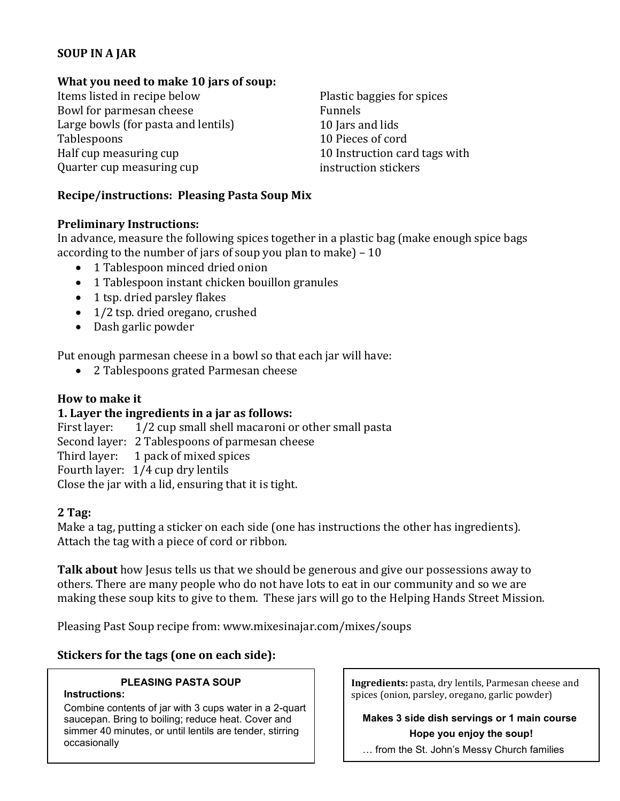# **SOUP IN A JAR**

## **What you need to make 10 jars of soup:**

Items listed in recipe below Bowl for parmesan cheese Large bowls (for pasta and lentils) Tablespoons Half cup measuring cup Quarter cup measuring cup

Plastic baggies for spices Funnels 10 Jars and lids 10 Pieces of cord 10 Instruction card tags with instruction stickers

## **Recipe/instructions: Pleasing Pasta Soup Mix**

#### **Preliminary Instructions:**

In advance, measure the following spices together in a plastic bag (make enough spice bags according to the number of jars of soup you plan to make) – 10

- 1 Tablespoon minced dried onion
- 1 Tablespoon instant chicken bouillon granules
- 1 tsp. dried parsley flakes
- 1/2 tsp. dried oregano, crushed
- Dash garlic powder

Put enough parmesan cheese in a bowl so that each jar will have:

• 2 Tablespoons grated Parmesan cheese

## **How to make it**

## **1. Layer the ingredients in a jar as follows:**

First layer: 1/2 cup small shell macaroni or other small pasta Second layer: 2 Tablespoons of parmesan cheese Third layer: 1 pack of mixed spices Fourth layer: 1/4 cup dry lentils Close the jar with a lid, ensuring that it is tight.

## **2 Tag:**

Make a tag, putting a sticker on each side (one has instructions the other has ingredients). Attach the tag with a piece of cord or ribbon.

**Talk about** how Jesus tells us that we should be generous and give our possessions away to others. There are many people who do not have lots to eat in our community and so we are making these soup kits to give to them. These jars will go to the Helping Hands Street Mission.

Pleasing Past Soup recipe from: www.mixesinajar.com/mixes/soups

## **Stickers for the tags (one on each side):**

## **PLEASING PASTA SOUP**

#### **Instructions:**

 Combine contents of jar with 3 cups water in a 2-quart saucepan. Bring to boiling; reduce heat. Cover and simmer 40 minutes, or until lentils are tender, stirring occasionally

**Ingredients:** pasta, dry lentils, Parmesan cheese and spices (onion, parsley, oregano, garlic powder)

 **Makes 3 side dish servings or 1 main course Hope you enjoy the soup!**

… from the St. John's Messy Church families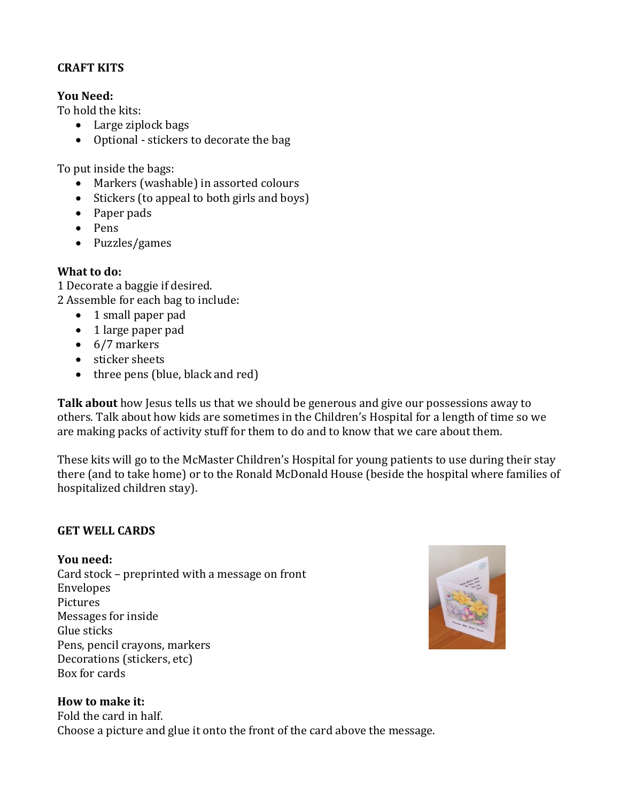## **CRAFT KITS**

## **You Need:**

To hold the kits:

- Large ziplock bags
- Optional stickers to decorate the bag

To put inside the bags:

- Markers (washable) in assorted colours
- Stickers (to appeal to both girls and boys)
- Paper pads
- Pens
- Puzzles/games

## **What to do:**

1 Decorate a baggie if desired. 2 Assemble for each bag to include:

- 1 small paper pad
- 1 large paper pad
- $\bullet$  6/7 markers
- sticker sheets
- $\bullet$  three pens (blue, black and red)

**Talk about** how Jesus tells us that we should be generous and give our possessions away to others. Talk about how kids are sometimes in the Children's Hospital for a length of time so we are making packs of activity stuff for them to do and to know that we care about them.

These kits will go to the McMaster Children's Hospital for young patients to use during their stay there (and to take home) or to the Ronald McDonald House (beside the hospital where families of hospitalized children stay).

## **GET WELL CARDS**

## **You need:**

Card stock – preprinted with a message on front Envelopes Pictures Messages for inside Glue sticks Pens, pencil crayons, markers Decorations (stickers, etc) Box for cards



## **How to make it:**

Fold the card in half. Choose a picture and glue it onto the front of the card above the message.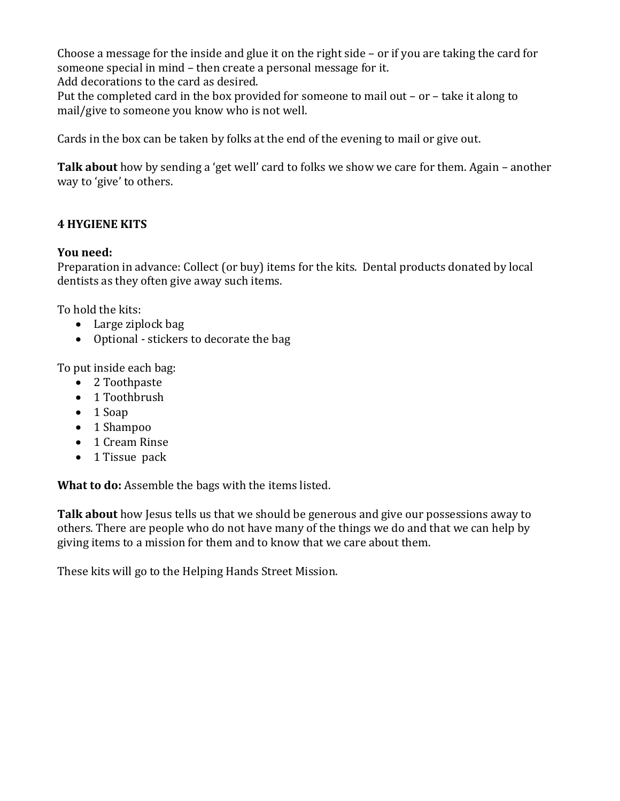Choose a message for the inside and glue it on the right side – or if you are taking the card for someone special in mind – then create a personal message for it. Add decorations to the card as desired.

Put the completed card in the box provided for someone to mail out – or – take it along to mail/give to someone you know who is not well.

Cards in the box can be taken by folks at the end of the evening to mail or give out.

**Talk about** how by sending a 'get well' card to folks we show we care for them. Again – another way to 'give' to others.

## **4 HYGIENE KITS**

#### **You need:**

Preparation in advance: Collect (or buy) items for the kits. Dental products donated by local dentists as they often give away such items.

To hold the kits:

- Large ziplock bag
- Optional stickers to decorate the bag

To put inside each bag:

- 2 Toothpaste
- 1 Toothbrush
- $\bullet$  1 Soap
- 1 Shampoo
- 1 Cream Rinse
- 1 Tissue pack

**What to do:** Assemble the bags with the items listed.

**Talk about** how Jesus tells us that we should be generous and give our possessions away to others. There are people who do not have many of the things we do and that we can help by giving items to a mission for them and to know that we care about them.

These kits will go to the Helping Hands Street Mission.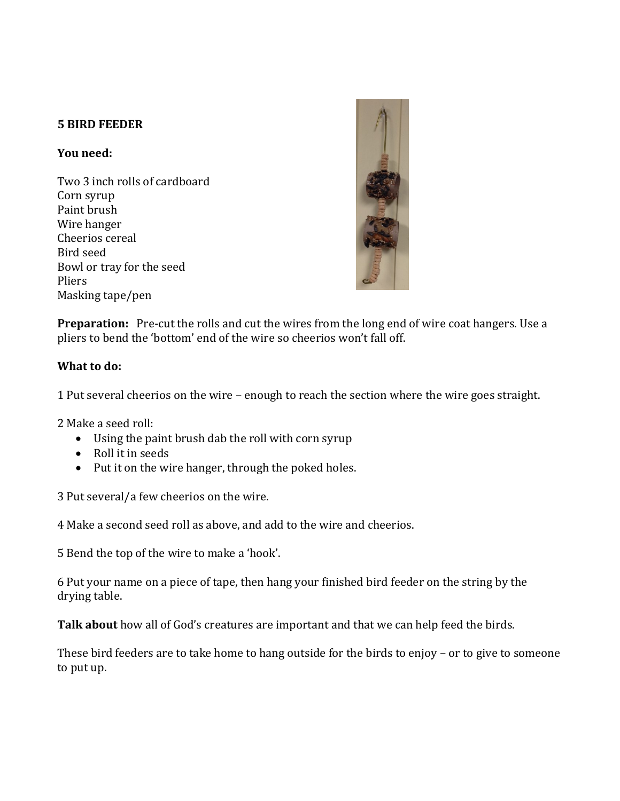## **5 BIRD FEEDER**

### **You need:**

Two 3 inch rolls of cardboard Corn syrup Paint brush Wire hanger Cheerios cereal Bird seed Bowl or tray for the seed Pliers Masking tape/pen



**Preparation:** Pre-cut the rolls and cut the wires from the long end of wire coat hangers. Use a pliers to bend the 'bottom' end of the wire so cheerios won't fall off.

## **What to do:**

1 Put several cheerios on the wire – enough to reach the section where the wire goes straight.

2 Make a seed roll:

- Using the paint brush dab the roll with corn syrup
- Roll it in seeds
- Put it on the wire hanger, through the poked holes.

3 Put several/a few cheerios on the wire.

4 Make a second seed roll as above, and add to the wire and cheerios.

5 Bend the top of the wire to make a 'hook'.

6 Put your name on a piece of tape, then hang your finished bird feeder on the string by the drying table.

**Talk about** how all of God's creatures are important and that we can help feed the birds.

These bird feeders are to take home to hang outside for the birds to enjoy – or to give to someone to put up.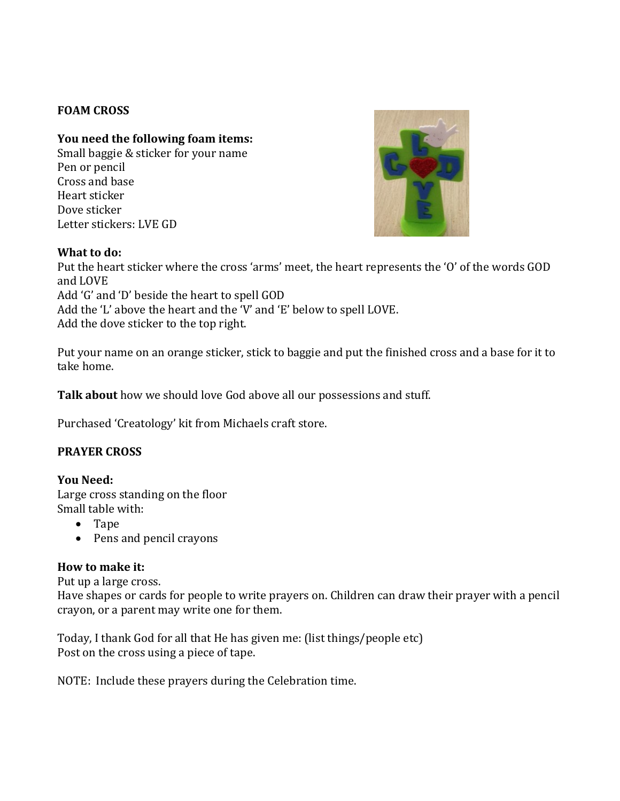## **FOAM CROSS**

## **You need the following foam items:**

Small baggie & sticker for your name Pen or pencil Cross and base Heart sticker Dove sticker Letter stickers: LVE GD



#### **What to do:**

Put the heart sticker where the cross 'arms' meet, the heart represents the 'O' of the words GOD and LOVE Add 'G' and 'D' beside the heart to spell GOD Add the 'L' above the heart and the 'V' and 'E' below to spell LOVE. Add the dove sticker to the top right.

Put your name on an orange sticker, stick to baggie and put the finished cross and a base for it to take home.

**Talk about** how we should love God above all our possessions and stuff.

Purchased 'Creatology' kit from Michaels craft store.

## **PRAYER CROSS**

**You Need:** Large cross standing on the floor Small table with:

- Tape
- Pens and pencil crayons

## **How to make it:**

Put up a large cross.

Have shapes or cards for people to write prayers on. Children can draw their prayer with a pencil crayon, or a parent may write one for them.

Today, I thank God for all that He has given me: (list things/people etc) Post on the cross using a piece of tape.

NOTE: Include these prayers during the Celebration time.